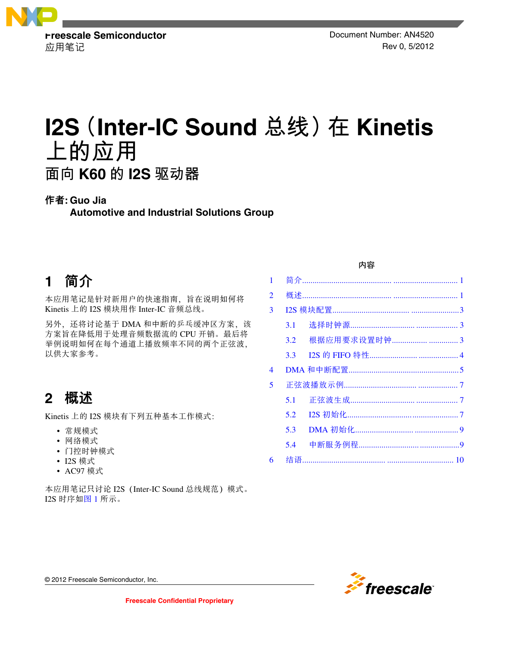

应用笔记 Rev 0, 5/2012

# **I2S(Inter-IC Sound 总线)在 Kinetis 上的应用 面向 K60 的 I2S 驱动器**

### 作者**: Guo Jia**

**Automotive and Industrial Solutions Group**

# **1** 简介

本应用笔记是针对新用户的快速指南,旨在说明如何将 Kinetis 上的 I2S 模块用作 Inter-IC 音频总线。

另外, 还将讨论基于 DMA 和中断的乒乓缓冲区方案, 该 方案旨在降低用于处理音频数据流的 CPU 开销。最后将 举例说明如何在每个通道上播放频率不同的两个正弦波, 以供大家参考。

# **2** 概述

Kinetis 上的 I2S 模块有下列五种基本工作模式:

- 常规模式
- 网络模式
- 门控时钟模式
- I2S 模式
- AC97 模式

本应用笔记只讨论 I2S (Inter-IC Sound 总线规范)模式。 I2S 时序如图 1 所示。

### 内容

| 1              |     |               |  |
|----------------|-----|---------------|--|
| $\overline{2}$ |     |               |  |
| 3              |     |               |  |
|                | 3.1 |               |  |
|                | 3.2 | 根据应用要求设置时钟  3 |  |
|                | 3.3 |               |  |
| 4              |     |               |  |
| 5              |     |               |  |
|                | 5.1 |               |  |
|                | 5.2 |               |  |
|                | 5.3 |               |  |
|                | 5.4 |               |  |
| 6              |     |               |  |
|                |     |               |  |



© 2012 Freescale Semiconductor, Inc.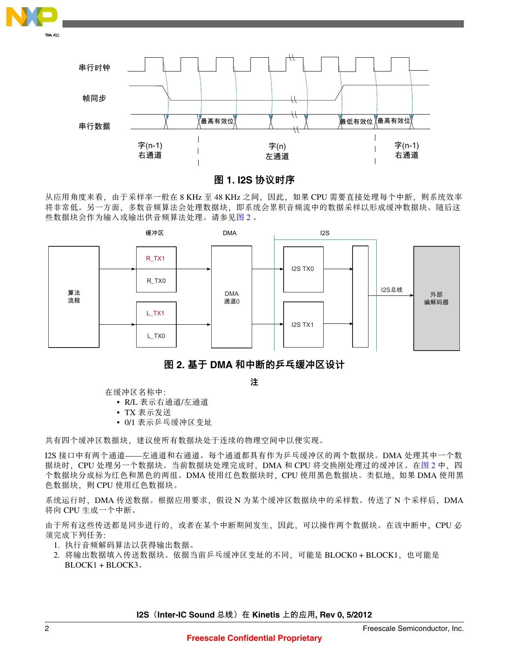<span id="page-1-0"></span>

串行时钟 帧同步 最高有效位 最低有效位 最高有效位 串行数据 字(n-1) 字(n-1) 字(n) 右通道 右通道 左通道  $\overline{\phantom{a}}$ 

图 **1. I2S** 协议时序

从应用角度来看,由于采样率一般在 8 KHz 至 48 KHz 之间,因此, 如果 CPU 需要直接处理每个中断, 则系统效率 将非常低。另一方面,多数音频算法会处理数据块,即系统会累积音频流中的数据采样以形成缓冲数据块。随后这 些数据块会作为输入或输出供音频算法处理。请参见图 2 。





注

在缓冲区名称中:

- R/L 表示右通道/左通道
- TX 表示发送
- 0/1 表示乒乓缓冲区变址

共有四个缓冲区数据块,建议使所有数据块处于连续的物理空间中以便实现。

I2S 接口中有两个通道——左通道和右通道。每个通道都具有作为乒乓缓冲区的两个数据块。DMA 处理其中一个数 据块时, CPU 处理另一个数据块。当前数据块处理完成时, DMA 和 CPU 将交换刚处理过的缓冲区。在图 2 中, 四 个数据块分成标为红色和黑色的两组。DMA 使用红色数据块时,CPU 使用黑色数据块。类似地,如果 DMA 使用黑 色数据块,则 CPU 使用红色数据块。

系统运行时,DMA 传送数据。根据应用要求,假设 N 为某个缓冲区数据块中的采样数。传送了 N 个采样后,DMA 将向 CPU 生成一个中断。

由于所有这些传送都是同步进行的,或者在某个中断期间发生,因此,可以操作两个数据块。在该中断中,CPU 必 须完成下列任务:

- 1. 执行音频解码算法以获得输出数据。
- 2. 将输出数据填入传送数据块。依据当前乒乓缓冲区变址的不同,可能是 BLOCK0 + BLOCK1, 也可能是 BLOCK1 + BLOCK3。

**I2S** (Inter-IC Sound 总线) 在 Kinetis 上的应用, Rev 0, 5/2012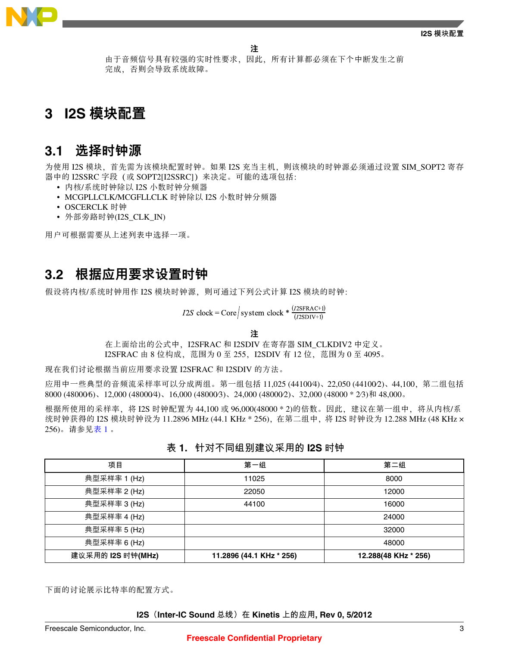

由于音频信号具有较强的实时性要求,因此,所有计算都必须在下个中断发生之前 完成,否则会导致系统故障。

## <span id="page-2-0"></span>**I2S** 模块配置 **3**

### **3.1** 选择时钟源

为使用 I2S 模块、首先需为该模块配置时钟。如果 I2S 充当主机, 则该模块的时钟源必须通过设置 SIM\_SOPT2 寄存 器中的 I2SSRC 字段(或 SOPT2[I2SSRC])来决定。可能的选项包括:

- 内核/系统时钟除以 I2S 小数时钟分频器
- MCGPLLCLK/MCGFLLCLK 时钟除以 I2S 小数时钟分频器
- OSCERCLK 时钟
- 外部旁路时钟(I2S CLK IN)

用户可根据需要从上述列表中选择一项。

### **3.2** 根据应用要求设置时钟

假设将内核/系统时钟用作 I2S 模块时钟源, 则可通过下列公式计算 I2S 模块的时钟:

 $I2S \text{ clock} = \text{Core} / \text{system clock} * \frac{(I2SFRAC+1)}{(I2SDIV+1)}$ 

注

在上面给出的公式中,I2SFRAC 和 I2SDIV 在寄存器 SIM\_CLKDIV2 中定义。 I2SFRAC 由 8 位构成, 范围为 0 至 255, I2SDIV 有 12 位, 范围为 0 至 4095。

现在我们讨论根据当前应用要求设置 I2SFRAC 和 I2SDIV 的方法。

应用中一些典型的音频流采样率可以分成两组。第一组包括 11,025 (44100⁄4)、22,050 (44100⁄2)、44,100,第二组包括 8000 (48000⁄6)、12,000 (48000⁄4)、16,000 (48000⁄3)、24,000 (48000⁄2)、32,000 (48000 \* 2⁄3)和 48,000。

根据所使用的采样率, 将 I2S 时钟配置为 44,100 或 96,000(48000 \* 2)的倍数。因此, 建议在第一组中, 将从内核/系 统时钟获得的 I2S 模块时钟设为 11.2896 MHz (44.1 KHz \* 256), 在第二组中, 将 I2S 时钟设为 12.288 MHz (48 KHz × 256)。请参见表 1 。

| 项目                | 第一组                      | 第二组                  |
|-------------------|--------------------------|----------------------|
| 典型采样率 1 (Hz)      | 11025                    | 8000                 |
| 典型采样率 2 (Hz)      | 22050                    | 12000                |
| 典型采样率 3 (Hz)      | 44100                    | 16000                |
| 典型采样率 4 (Hz)      |                          | 24000                |
| 典型采样率 5 (Hz)      |                          | 32000                |
| 典型采样率 6 (Hz)      |                          | 48000                |
| 建议采用的 I2S 时钟(MHz) | 11.2896 (44.1 KHz * 256) | 12.288(48 KHz * 256) |

### **表 1. 针对不同组别建议采用的 I2S 时钟**

下面的讨论展示比特率的配置方式。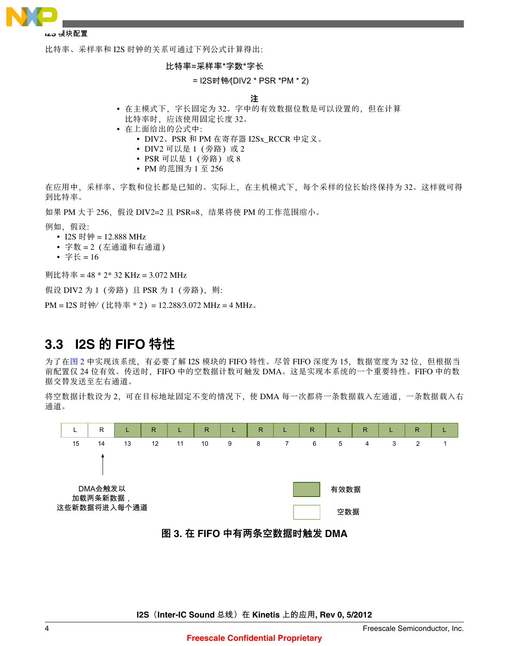<span id="page-3-0"></span>

#### **I2S 模块配置**

比特率、采样率和 I2S 时钟的关系可通过下列公式计算得出:

比特率=采样率\*字数\*字长

#### = I2S时钟⁄(DIV2 \* PSR \*PM \* 2)

#### 注

- 在主模式下, 字长固定为 32。字中的有效数据位数是可以设置的, 但在计算 比特率时,应该使用固定长度 32。
- 在上面给出的公式中:
	- DIV2、PSR 和 PM 在寄存器 I2Sx\_RCCR 中定义。
	- DIV2 可以是 1 (旁路) 或 2
	- PSR 可以是 1 (旁路) 或 8
	- PM 的范围为 1 至 256

在应用中,采样率、字数和位长都是已知的。实际上,在主机模式下,每个采样的位长始终保持为 32。这样就可得 到比特率。

如果 PM 大于 256, 假设 DIV2=2 且 PSR=8, 结果将使 PM 的工作范围缩小。

例如,假设:

- I2S 时钟 = 12.888 MHz
- 字数 = 2(左通道和右通道)
- 字长 =  $16$

则比特率 = 48 \* 2\* 32 KHz = 3.072 MHz

假设 DIV2 为 1 (旁路) 且 PSR 为 1 (旁路), 则:

PM = I2S 时钟⁄(比特率 \* 2)= 12.288⁄3.072 MHz = 4 MHz。

### **3.3 I2S** 的 **FIFO** 特性

为了[在图](#page-1-0) 2 中实现该系统, 有必要了解 I2S 模块的 FIFO 特性。尽管 FIFO 深度为 15, 数据宽度为 32 位, 但根据当 前配置仅 24 位有效。传送时,FIFO 中的空数据计数可触发 DMA。这是实现本系统的一个重要特性。FIFO 中的数 据交替发送至左右通道。

将空数据计数设为 2,可在目标地址固定不变的情况下,使 DMA 每一次都将一条数据载入左通道,一条数据载入右 通道。



图 **3.** 在 **FIFO** 中有两条空数据时触发 **DMA**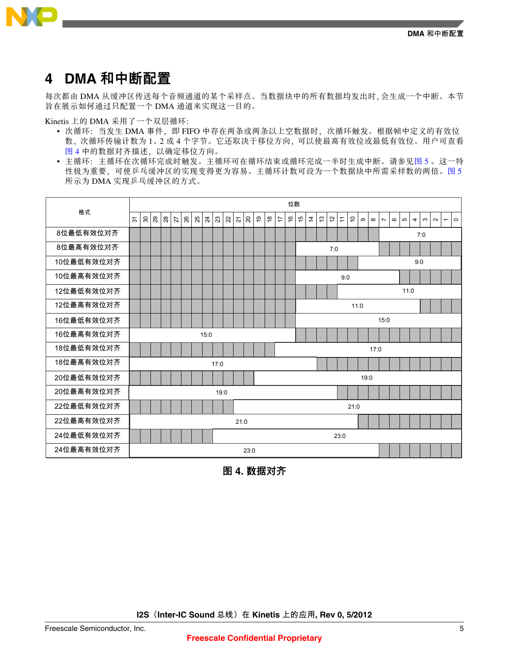

# <span id="page-4-0"></span>**4 DMA** 和中断配置

每次都由 DMA 从缓冲区传送每个音频通道的某个采样点。当数据块中的所有数据均发出时,会生成一个中断。本节 旨在展示如何通过只配置一个 DMA 通道来实现这一目的。

Kinetis 上的 DMA 采用了一个双层循环:

- 次循环:当发生 DMA 事件, 即 FIFO 中存在两条或两条以上空数据时, 次循环触发。根据帧中定义的有效位 数,次循环传输计数为 1、2 或 4 个字节。它还取决于移位方向,可以使最高有效位或最低有效位。用户可查看 图 4 中的数据对齐描述,以确定移位方向。
- 主循环:主循环在次循环完成时触发。主循环可在循环结束或循环完成一半时生成中断。请参见图 5 。这一特 性极为重要,可使乒乓缓冲区的实现变得更为容易。主循环计数可设为一个数据块中所需采样数的两倍。图 5 所示为 DMA 实现乒乓缓冲区的方式。



图 **4.** 数据对齐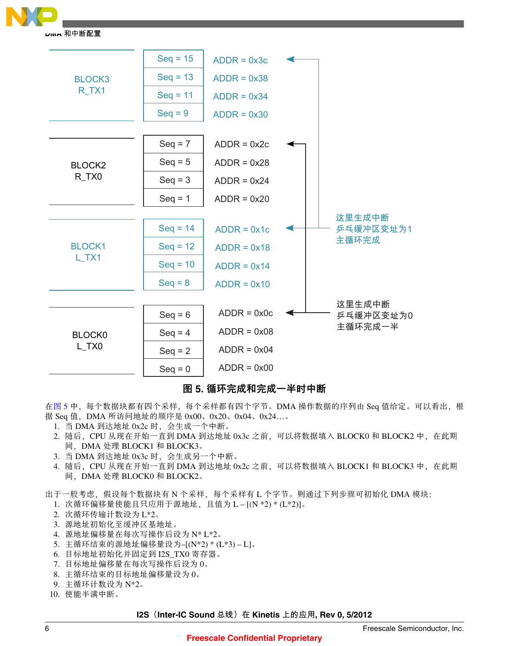

**DMA 和中断配置**



### 图 **5.** 循环完成和完成一半时中断

在[图](#page-4-0) 5 中,每个数据块都有四个采样,每个采样都有四个字节。DMA 操作数据的序列由 Seq 值给定。可以看出,根 据 Seq 值,DMA 所访问地址的顺序是 0x00、0x20、0x04、0x24…。

- 1. 当 DMA 到达地址 0x2c 时,会生成一个中断。
- 2. 随后, CPU 从现在开始一直到 DMA 到达地址 0x3c 之前, 可以将数据填入 BLOCK0 和 BLOCK2 中, 在此期 间,DMA 处理 BLOCK1 和 BLOCK3。
- 3. 当 DMA 到达地址 0x3c 时,会生成另一个中断。
- 4. 随后, CPU 从现在开始一直到 DMA 到达地址 0x2c 之前, 可以将数据填入 BLOCK1 和 BLOCK3 中, 在此期 间,DMA 处理 BLOCK0 和 BLOCK2。

出于一般考虑,假设每个数据块有 N 个采样,每个采样有 L 个字节。则通过下列步骤可初始化 DMA 模块:

- 1. 次循环偏移量使能且只应用于源地址,且值为 L [(N \*2) \* (L\*2)]。
- 2. 次循环传输计数设为 L\*2。
- 3. 源地址初始化至缓冲区基地址。
- 4. 源地址偏移量在每次写操作后设为 N\* L\*2。
- 5. 主循环结束的源地址偏移量设为–[(N\*2) \* (L\*3) L]。
- 6. 目标地址初始化并固定到 I2S\_TX0 寄存器。
- 7. 目标地址偏移量在每次写操作后设为 0。
- 8. 主循环结束的目标地址偏移量设为 0。
- 9. 主循环计数设为 N\*2。
- 10. 使能半满中断。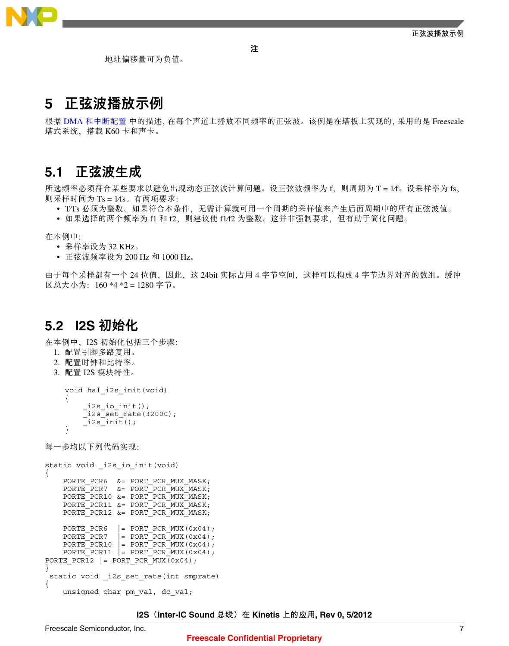

### <span id="page-6-0"></span>**5** 正弦波播放示例

地址偏移量可为负值。

根据 DMA [和中断配置](#page-4-0) 中的描述,在每个声道上播放不同频率的正弦波。该例是在塔板上实现的,采用的是 Freescale 塔式系统,搭载 K60 卡和声卡。

注

### **5.1** 正弦波生成

所选频率必须符合某些要求以避免出现动态正弦波计算问题。设正弦波频率为 f, 则周期为 T = 1/f。设采样率为 fs, 则采样时间为 Ts = 1⁄fs。有两项要求:

• T/Ts 必须为整数。如果符合本条件, 无需计算就可用一个周期的采样值来产生后面周期中的所有正弦波值。

• 如果选择的两个频率为 f1 和 f2,则建议使 f1⁄f2 为整数。这并非强制要求,但有助于简化问题。

在本例中:

- 采样率设为 32 KHz。
- 正弦波频率设为 200 Hz 和 1000 Hz。

由于每个采样都有一个 24 位值,因此,这 24bit 实际占用 4 字节空间,这样可以构成 4 字节边界对齐的数组。缓冲 区总大小为:160 \*4 \*2 = 1280 字节。

### **5.2 I2S** 初始化

在本例中,I2S 初始化包括三个步骤:

- 1. 配置引脚多路复用。
- 2. 配置时钟和比特率。
- 3. 配置 I2S 模块特性。

```
void hal_i2s_init(void)
{ 
       _i2s_io_init();
     _12ssetrate(32000);\overline{\phantom{a}} _i2s_init();
}
```
每一步均以下列代码实现:

```
static void i2s io init(void)
{
    PORTE_PCR6 &= PORT_PCR_MUX_MASK;
    PORTEPCR7 &= PORTPCRMUXMASK;
    PORTE PCR10 &= PORT PCR MUX MASK;
    PORTE_PCR11 &= PORT_PCR_MUX_MASK;
     PORTE_PCR12 &= PORT_PCR_MUX_MASK;
    PORTE PCR6 |= PORT PCR MUX(0x04);
    PORTE<sup>-</sup>PCR7 = PORT<sup>-</sup>PCR<sup>-</sup>MUX(0x04);PORTE PCR10 |= PORT PCR MUX(0x04);
    PORTE PCR11 | = PORT PCR MUX(0x04);
PORTE PCR12 | = PORT PCR_MUX(0x04);
}
 static void i2s set rate(int smprate)
{
    unsigned char pm val, dc val;
```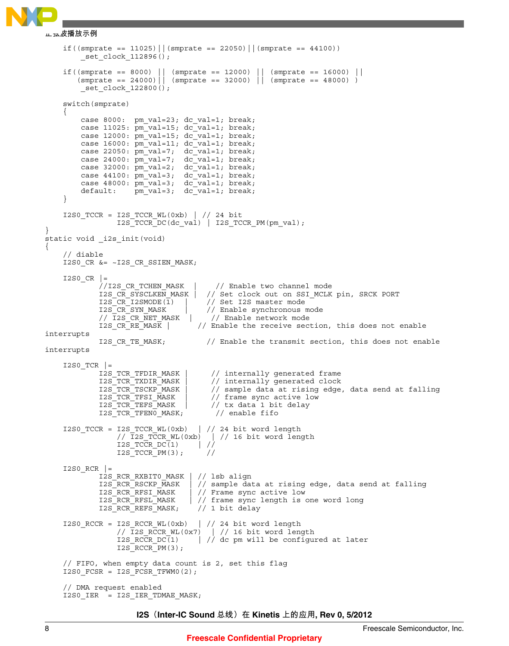```
if((smprate == 11025)||(smprate == 22050)||(smprate == 44100))
         set clock 112896();
 if((smprate == 8000) || (smprate == 12000) || (smprate == 16000) ||
 (smprate == 24000)|| (smprate == 32000) || (smprate == 48000) )
         set clock 122800();
     switch(smprate)
\{ case 8000: pm_val=23; dc_val=1; break;
         case 11025: pm_val=15; dc_val=1; break;
         case 12000: pmval=15; dc_val=1; break;
         case 16000: pm val=11; dc val=1; break;
 case 22050: pm_val=7; dc_val=1; break;
 case 24000: pm_val=7; dc_val=1; break;
 case 32000: pm_val=2; dc_val=1; break;
         case 44100: \overline{pm\ val}=3; dc_val=1; break;
         case 48000: \pm \sqrt{val} = 3; \pm \sqrt{cl} = 1; \pm \sqrt{val} = 1;
         default: pm_val=3; dc_val=1; break;
     }
 I2S0_TCCR = I2S_TCCR_WL(0xb) | // 24 bit
 I2S_TCCR_DC(dc_val) | I2S_TCCR_PM(pm_val);
}
static void _i2s_init(void)
{
     // diable
    I2S0 CR &= ~I2S CR SSIEN MASK;
    I2SO_CR |=<br>//I2S CR TCHEN MASK
              //I2S_CR_TCHEN_MASK | // Enable two channel mode
             I2S_CR_SYSCLKEN_MASK | // Set clock out on SSI_MCLK pin, SRCK PORT<br>I2S CR_I2SMODE(1) | // Set I2S master mode
             I2S_CCR_I2SMODE(1) | // Set I2S master mode<br>I2S CR_SYN MASK | // Enable synchronous m
              I2S_CR_SYN_MASK | // Enable synchronous mode<br>// I2S_CR_NET_MASK | // Enable network mode
                                          // Enable network mode
             I2S_CR_R_R_RMASK | // Enable the receive section, this does not enable
interrupts
             I2S CR TE MASK; // Enable the transmit section, this does not enable
interrupts
    I2S0_TCR |=<br>I2S TCR TFDIR MASK
                                          // internally generated frame
             I2S TCR TXDIR MASK | // internally generated clock
             I2S_TCR_TSCKP_MASK | // sample data at rising edge, data send at falling<br>I2S_TCR_TFSI_MASK | // frame sync active low
             I2S_TCR_TFSI_MASK | // frame sync active low<br>I2S_TCR_TEFS_MASK | // tx data 1 bit delay
                                         // tx data 1 bit delay
             I2S TCR TFEN0 MASK; // enable fifo
     I2S0_TCCR = I2S_TCCR_WL(0xb) | // 24 bit word length
                  // I2S_TCCR_WL(0xb) | // 16 bit word length<br>
I2S_TCCR_DC(1) | //
                  I2S_TCCR_DC(1) | //<br>I2S_TCCR_PM(3); //
                  I2S<sup>TCCR</sub> PM(3);</sup>
     I2S0_RCR |= 
             I2S_RCR_RXBIT0_MASK | // lsb align<br>I2S_RCR_RSCKP_MASK | // sample dat
                                    \vert // sample data at rising edge, data send at falling
             I2S RCR RFSI MASK | // Frame sync active low
             I2S_RCR_RFSL_MASK | // frame sync length is one word long<br>I2S_RCR_REFS_MASK; // 1 bit delay
             I2S_RCR_REFS_MASK;
 I2S0_RCCR = I2S_RCCR_WL(0xb) | // 24 bit word length
 // I2S_RCCR_WL(0x7) | // 16 bit word length
                  I2S RCCR DC(1) | // dc pm will be configured at later
                  I2SRCCRPM(3);
     // FIFO, when empty data count is 2, set this flag
    I2S0 FCSR = I2S FCSR TFWMO(2);
     // DMA request enabled
     I2S0_IER = I2S_IER_TDMAE_MASK;
正弦波播放示例
```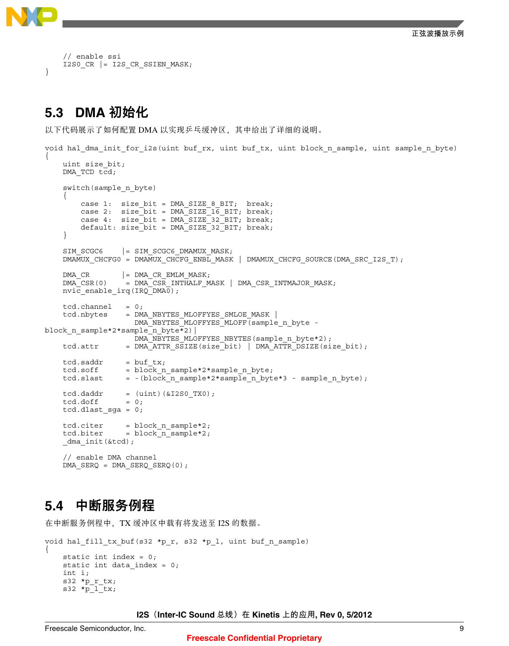

```
 // enable ssi
    I2S0 CR |= I2S CR SSIEN MASK;
}
```
# **5.3 DMA** 初始化

以下代码展示了如何配置 DMA 以实现乒乓缓冲区,其中给出了详细的说明。

```
void hal_dma_init_for_i2s(uint buf_rx, uint buf_tx, uint block_n_sample, uint sample_n_byte)
{
     uint size_bit;
    DMA TCD tcd;
     switch(sample_n_byte)
\{ case 1: size_bit = DMA_SIZE_8_BIT; break;
 case 2: size_bit = DMA_SIZE_16_BIT; break;
 case 4: size_bit = DMA_SIZE_32_BIT; break;
          default: size_bit = DMA_SIZE_32_BIT; break;
     }
    SIM SCGCG = SIM SCGCG DMAMUX MASK; DMAMUX_CHCFG0 = DMAMUX_CHCFG_ENBL_MASK | DMAMUX_CHCFG_SOURCE(DMA_SRC_I2S_T);
    \begin{array}{lll} \texttt{DNA\_CR} & | = \texttt{DMA\_CR\_EMLM\_MASK} \texttt{,} \\ \texttt{DMA\_CSR(0)} & = \texttt{DMA\_CSR} \texttt{INTHALF} \texttt{,} \end{array}= DMA\overline{CSR} INTHALF MASK | DMA CSR INTMAJOR MASK;
     nvic_enable_irq(IRQ_DMA0);
    tcd.channel = 0;<br>tcd.nbytes = DM= DMA_NBYTES_MLOFFYES_SMLOE_MASK
                      DMA_NBYTES_MLOFFYES_MLOFF(sample_n_byte -
block n sample*2*sample n byte*2)|
                      DMA_NBYTES_MLOFFYES_NBYTES(sample_n_byte*2);
     tcd.attr = DMA_ATTR_SSIZE(size_bit) | DMA_ATTR_DSIZE(size_bit);
    tcd.saddr = buf_tx;<br>tcd.soff = block n= block_n_sample*2*sample n byte;
     tcd.slast = -(block_n_sample*2*sample_n_byte*3 - sample_n_byte);
    tcd.datadr = (uint)(&I2SO TX0);tcd.doff = 0;
    tcd.dlast sga = 0;
    tcd.citer = block n sample*2;
     tcd.biter = block_n_sample*2;
    dma init(&tcd);
     // enable DMA channel
     DMA_SERQ = DMA_SERQ_SERQ(0);
```
# **5.4** 中断服务例程

在中断服务例程中,TX 缓冲区中载有将发送至 I2S 的数据。

```
void hal_fill_tx_buf(s32 *p_r, s32 *p_l, uint buf_n_sample)
{
     static int index = 0;
    static int data index = 0;
     int i;
    s32 *p_r_tx;
    s32 * p_1tx;
```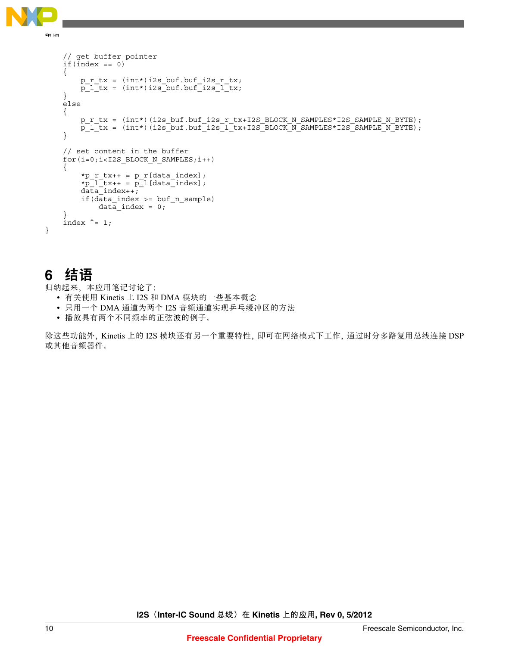<span id="page-9-0"></span>

**结语**

```
 // get buffer pointer 
    if(intex == 0) {
        p_r tx = (int*)i2s buf.buf i2s r tx;
        p\bar{l} tx = (int*)i2s buf.buf i2s \bar{l} tx;
     }
     else
     {
        p_r_tx = (int*)(i2s_buf.buf_i2s_r_tx+I2S_BLOCK_N_SAMPLES*I2S_SAMPLE_N_BYTE);
        p_1<sup>t</sup>x = (int*)(i2s_buf.buf_i2s_l_tx+I2S_BLOCK_N_SAMPLES*I2S_SAMPLE_N_BYTE);
     }
     // set content in the buffer
    for(i=0; i<12S BLOCK N SAMPLES;i++) {
         *p_r_tx_{++} = p_r[data_index];*p_1<sup>-</sup>tx++ = p_1[data<sup>-</sup>index];
         data_index++;
         if(data_index >= buf_n_sample)
             data\_index = 0; }
    index \hat{i} = 1;
```
# **6** 结语

}

归纳起来,本应用笔记讨论了:

- 有关使用 Kinetis 上 I2S 和 DMA 模块的一些基本概念
- 只用一个 DMA 通道为两个 I2S 音频通道实现乒乓缓冲区的方法
- 播放具有两个不同频率的正弦波的例子。

除这些功能外,Kinetis 上的 I2S 模块还有另一个重要特性,即可在网络模式下工作,通过时分多路复用总线连接 DSP 或其他音频器件。

**I2S (Inter-IC Sound 总线) 在 Kinetis 上的应用, Rev 0, 5/2012**